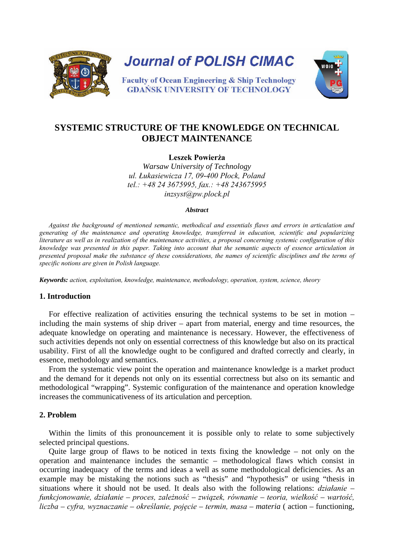

# **SYSTEMIC STRUCTURE OF THE KNOWLEDGE ON TECHNICAL OBJECT MAINTENANCE**

**Leszek Powierża**

*Warsaw University of Technology ul. Łukasiewicza 17, 09-400 Płock, Poland tel.: +48 24 3675995, fax.: +48 243675995 inzsyst@pw.plock.pl*

#### *Abstract*

*Against the background of mentioned semantic, methodical and essentials flaws and errors in articulation and generating of the maintenance and operating knowledge, transferred in education, scientific and popularizing literature as well as in realization of the maintenance activities, a proposal concerning systemic configuration of this knowledge was presented in this paper. Taking into account that the semantic aspects of essence articulation in presented proposal make the substance of these considerations, the names of scientific disciplines and the terms of specific notions are given in Polish language.* 

*Keywords: action, exploitation, knowledge, maintenance, methodology, operation, system, science, theory*

## **1. Introduction**

For effective realization of activities ensuring the technical systems to be set in motion – including the main systems of ship driver – apart from material, energy and time resources, the adequate knowledge on operating and maintenance is necessary. However, the effectiveness of such activities depends not only on essential correctness of this knowledge but also on its practical usability. First of all the knowledge ought to be configured and drafted correctly and clearly, in essence, methodology and semantics.

From the systematic view point the operation and maintenance knowledge is a market product and the demand for it depends not only on its essential correctness but also on its semantic and methodological "wrapping". Systemic configuration of the maintenance and operation knowledge increases the communicativeness of its articulation and perception.

#### **2. Problem**

Within the limits of this pronouncement it is possible only to relate to some subjectively selected principal questions.

Quite large group of flaws to be noticed in texts fixing the knowledge – not only on the operation and maintenance includes the semantic – methodological flaws which consist in occurring inadequacy of the terms and ideas a well as some methodological deficiencies. As an example may be mistaking the notions such as "thesis" and "hypothesis" or using "thesis in situations where it should not be used. It deals also with the following relations: *działanie – funkcjonowanie, działanie – proces, zależność – związek, równanie – teoria, wielkość – wartość, liczba – cyfra, wyznaczanie – określanie, pojęcie – termin, masa – materia* ( action – functioning,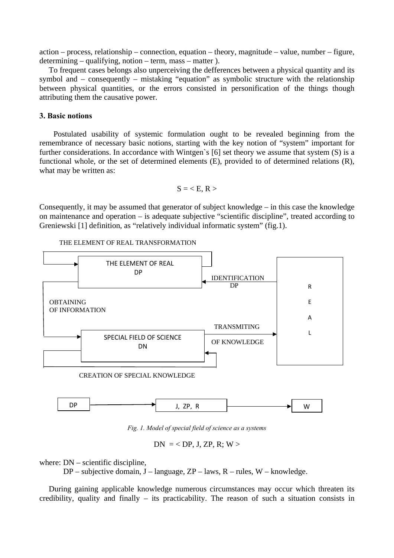action – process, relationship – connection, equation – theory, magnitude – value, number – figure, determining – qualifying, notion – term, mass – matter ).

To frequent cases belongs also unperceiving the defferences between a physical quantity and its symbol and – consequently – mistaking "equation" as symbolic structure with the relationship between physical quantities, or the errors consisted in personification of the things though attributing them the causative power.

### **3. Basic notions**

Postulated usability of systemic formulation ought to be revealed beginning from the remembrance of necessary basic notions, starting with the key notion of "system" important for further considerations. In accordance with Wintgen's [6] set theory we assume that system (S) is a functional whole, or the set of determined elements (E), provided to of determined relations (R), what may be written as:

$$
S = \langle E, R \rangle
$$

Consequently, it may be assumed that generator of subject knowledge – in this case the knowledge on maintenance and operation – is adequate subjective "scientific discipline", treated according to Greniewski [1] definition, as "relatively individual informatic system" (fig.1).

#### THE ELEMENT OF REAL TRANSFORMATION





*Fig. 1. Model of special field of science as a systems* 

 $DN = , J, ZP, R; W >$ 

where: DN – scientific discipline,

 $DP$  – subjective domain, J – language,  $ZP$  – laws, R – rules, W – knowledge.

During gaining applicable knowledge numerous circumstances may occur which threaten its credibility, quality and finally – its practicability. The reason of such a situation consists in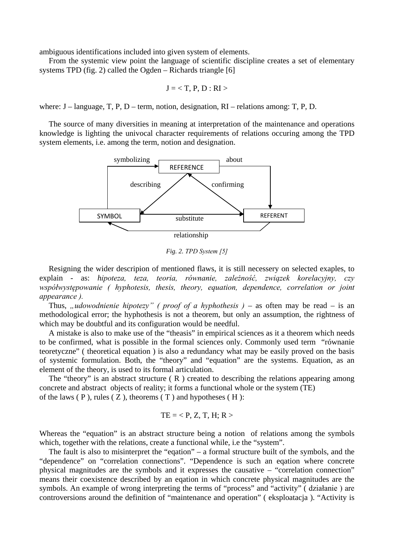ambiguous identifications included into given system of elements.

From the systemic view point the language of scientific discipline creates a set of elementary systems TPD (fig. 2) called the Ogden – Richards triangle [6]

$$
J =
$$

where:  $J$  – language, T, P, D – term, notion, designation, RI – relations among: T, P, D.

The source of many diversities in meaning at interpretation of the maintenance and operations knowledge is lighting the univocal character requirements of relations occuring among the TPD system elements, i.e. among the term, notion and designation.



*Fig. 2. TPD System [5]*

Resigning the wider descripion of mentioned flaws, it is still necessery on selected exaples, to explain - as: *hipoteza, teza, teoria, równanie, zależność, związek korelacyjny, czy współwystępowanie ( hyphotesis, thesis, theory, equation, dependence, correlation or joint appearance ).* 

Thus, "udowodnienie hipotezy" ( proof of a hyphothesis ) – as often may be read – is an methodological error; the hyphothesis is not a theorem, but only an assumption, the rightness of which may be doubtful and its configuration would be needful.

A mistake is also to make use of the "theasis" in empirical sciences as it a theorem which needs to be confirmed, what is possible in the formal sciences only. Commonly used term "równanie teoretyczne" ( theoretical equation ) is also a redundancy what may be easily proved on the basis of systemic formulation. Both, the "theory" and "equation" are the systems. Equation, as an element of the theory, is used to its formal articulation.

The "theory" is an abstract structure  $(R)$  created to describing the relations appearing among concrete and abstract objects of reality; it forms a functional whole or the system (TE) of the laws  $(P)$ , rules  $(Z)$ , theorems  $(T)$  and hypotheses  $(H)$ :

$$
TE =
$$

Whereas the "equation" is an abstract structure being a notion of relations among the symbols which, together with the relations, create a functional while, i.e the "system".

The fault is also to misinterpret the "eqation" – a formal structure built of the symbols, and the "dependence" on "correlation connections". "Dependence is such an eqation where concrete physical magnitudes are the symbols and it expresses the causative – "correlation connection" means their coexistence described by an eqation in which concrete physical magnitudes are the symbols. An example of wrong interpreting the terms of "process" and "activity" ( działanie ) are controversions around the definition of "maintenance and operation" ( eksploatacja ). "Activity is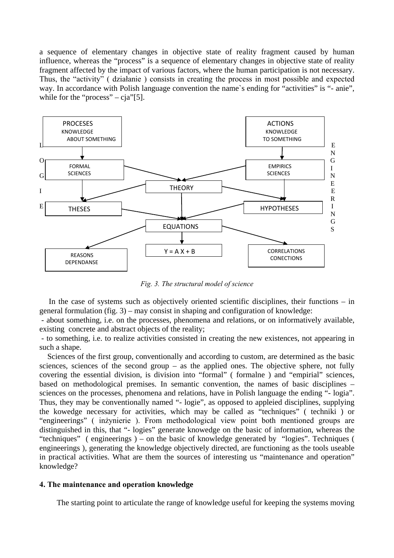a sequence of elementary changes in objective state of reality fragment caused by human influence, whereas the "process" is a sequence of elementary changes in objective state of reality fragment affected by the impact of various factors, where the human participation is not necessary. Thus, the "activity" ( działanie ) consists in creating the process in most possible and expected way. In accordance with Polish language convention the name's ending for "activities" is "- anie", while for the "process" – cja"[5].



*Fig. 3. The structural model of science* 

In the case of systems such as objectively oriented scientific disciplines, their functions – in general formulation (fig. 3) – may consist in shaping and configuration of knowledge:

 - about something, i.e. on the processes, phenomena and relations, or on informatively available, existing concrete and abstract objects of the reality;

 - to something, i.e. to realize activities consisted in creating the new existences, not appearing in such a shape.

 Sciences of the first group, conventionally and according to custom, are determined as the basic sciences, sciences of the second group – as the applied ones. The objective sphere, not fully covering the essential division, is division into "formal" ( formalne ) and "empirial" sciences, based on methodological premises. In semantic convention, the names of basic disciplines – sciences on the processes, phenomena and relations, have in Polish language the ending "- logia". Thus, they may be conventionally named "- logie", as opposed to appleied disciplines, supplying the kowedge necessary for activities, which may be called as "techniques" ( techniki ) or "engineerings" ( inżynierie ). From methodological view point both mentioned groups are distinguished in this, that "- logies" generate knowedge on the basic of information, whereas the "techniques" ( engineerings ) – on the basic of knowledge generated by "logies". Techniques ( engineerings ), generating the knowledge objectively directed, are functioning as the tools useable in practical activities. What are them the sources of interesting us "maintenance and operation" knowledge?

#### **4. The maintenance and operation knowledge**

The starting point to articulate the range of knowledge useful for keeping the systems moving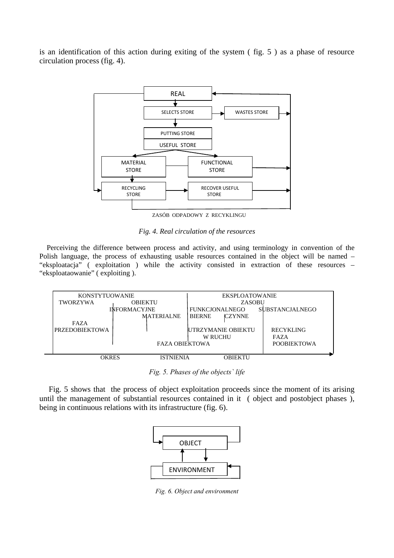is an identification of this action during exiting of the system ( fig. 5 ) as a phase of resource circulation process (fig. 4).



ZASÓB ODPADOWY Z RECYKLINGU

*Fig. 4. Real circulation of the resources*

 Perceiving the difference between process and activity, and using terminology in convention of the Polish language, the process of exhausting usable resources contained in the object will be named – "eksploatacja" ( exploitation ) while the activity consisted in extraction of these resources – "eksploataowanie" ( exploiting ).

| <b>KONSTYTUOWANIE</b> |                     | EKSPLOATOWANIE                 |                        |
|-----------------------|---------------------|--------------------------------|------------------------|
| TWORZYWA              | <b>OBJEKTU</b>      | ZASOBU                         |                        |
|                       | <b>INFORMACYJNE</b> | <b>FUNKCJONALNEGO</b>          | <b>SUBSTANCJALNEGO</b> |
|                       | <b>MATERIALNE</b>   | <b>BIERNE</b><br><b>CZYNNE</b> |                        |
| FAZA                  |                     |                                |                        |
| <b>PRZEDOBIEKTOWA</b> |                     | IUTRZYMANIE OBIEKTU            | <b>RECYKLING</b>       |
|                       |                     | <b>W RUCHU</b>                 | FAZA                   |
| <b>FAZA OBJEKTOWA</b> |                     |                                | <b>POOBJEKTOWA</b>     |
|                       |                     |                                |                        |
| OKRES                 | <b>ISTNIENIA</b>    | <b>OBIEKTU</b>                 |                        |

*Fig. 5. Phases of the objects` life*

Fig. 5 shows that the process of object exploitation proceeds since the moment of its arising until the management of substantial resources contained in it ( object and postobject phases ), being in continuous relations with its infrastructure (fig. 6).



*Fig. 6. Object and environment*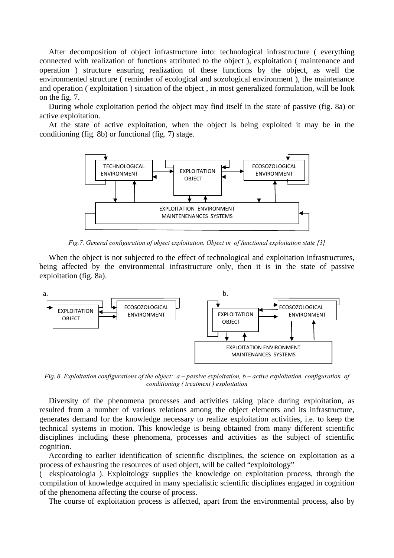After decomposition of object infrastructure into: technological infrastructure ( everything connected with realization of functions attributed to the object ), exploitation ( maintenance and operation ) structure ensuring realization of these functions by the object, as well the environmented structure ( reminder of ecological and sozological environment ), the maintenance and operation ( exploitation ) situation of the object , in most generalized formulation, will be look on the fig. 7.

During whole exploitation period the object may find itself in the state of passive (fig. 8a) or active exploitation.

At the state of active exploitation, when the object is being exploited it may be in the conditioning (fig. 8b) or functional (fig. 7) stage.



*Fig.7. General configuration of object exploitation. Object in of functional exploitation state [3]*

When the object is not subjected to the effect of technological and exploitation infrastructures, being affected by the environmental infrastructure only, then it is in the state of passive exploitation (fig. 8a).



*Fig. 8. Exploitation configurations of the object: a – passive exploitation, b – active exploitation, configuration of conditioning ( treatment ) exploitation*

Diversity of the phenomena processes and activities taking place during exploitation, as resulted from a number of various relations among the object elements and its infrastructure, generates demand for the knowledge necessary to realize exploitation activities, i.e. to keep the technical systems in motion. This knowledge is being obtained from many different scientific disciplines including these phenomena, processes and activities as the subject of scientific cognition.

According to earlier identification of scientific disciplines, the science on exploitation as a process of exhausting the resources of used object, will be called "exploitology"

( eksploatologia ). Exploitology supplies the knowledge on exploitation process, through the compilation of knowledge acquired in many specialistic scientific disciplines engaged in cognition of the phenomena affecting the course of process.

The course of exploitation process is affected, apart from the environmental process, also by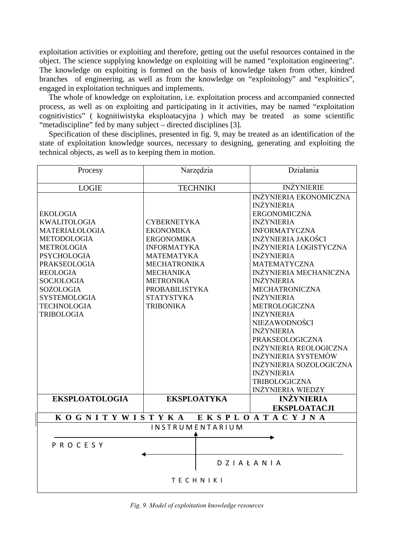exploitation activities or exploiting and therefore, getting out the useful resources contained in the object. The science supplying knowledge on exploiting will be named "exploitation engineering". The knowledge on exploiting is formed on the basis of knowledge taken from other, kindred branches of engineering, as well as from the knowledge on "exploitology" and "exploitics", engaged in exploitation techniques and implements.

The whole of knowledge on exploitation, i.e. exploitation process and accompanied connected process, as well as on exploiting and participating in it activities, may be named "exploitation cognitivistics" ( kognitiwistyka eksploatacyjna ) which may be treated as some scientific "metadiscipline" fed by many subject – directed disciplines [3].

Specification of these disciplines, presented in fig. 9, may be treated as an identification of the state of exploitation knowledge sources, necessary to designing, generating and exploiting the technical objects, as well as to keeping them in motion.

| Procesy                       | Narzędzia             | Działania                      |  |  |  |  |
|-------------------------------|-----------------------|--------------------------------|--|--|--|--|
|                               |                       |                                |  |  |  |  |
| <b>LOGIE</b>                  | <b>TECHNIKI</b>       | <b>INŻYNIERIE</b>              |  |  |  |  |
|                               |                       | INŻYNIERIA EKONOMICZNA         |  |  |  |  |
|                               |                       | <b>INŻYNIERIA</b>              |  |  |  |  |
| <b>EKOLOGIA</b>               |                       | <b>ERGONOMICZNA</b>            |  |  |  |  |
| <b>KWALITOLOGIA</b>           | <b>CYBERNETYKA</b>    | <b>INŻYNIERIA</b>              |  |  |  |  |
| MATERIAŁOLOGIA                | <b>EKONOMIKA</b>      | <b>INFORMATYCZNA</b>           |  |  |  |  |
| <b>METODOLOGIA</b>            | <b>ERGONOMIKA</b>     | <b>INŻYNIERIA JAKOŚCI</b>      |  |  |  |  |
| <b>METROLOGIA</b>             | <b>INFORMATYKA</b>    | <b>INŻYNIERIA LOGISTYCZNA</b>  |  |  |  |  |
| <b>PSYCHOLOGIA</b>            | <b>MATEMATYKA</b>     | <b>INŻYNIERIA</b>              |  |  |  |  |
| <b>PRAKSEOLOGIA</b>           | <b>MECHATRONIKA</b>   | <b>MATEMATYCZNA</b>            |  |  |  |  |
| <b>REOLOGIA</b>               | <b>MECHANIKA</b>      | INŻYNIERIA MECHANICZNA         |  |  |  |  |
| <b>SOCJOLOGIA</b>             | <b>METRONIKA</b>      | <b>INŻYNIERIA</b>              |  |  |  |  |
| <b>SOZOLOGIA</b>              | <b>PROBABILISTYKA</b> | <b>MECHATRONICZNA</b>          |  |  |  |  |
| <b>SYSTEMOLOGIA</b>           | <b>STATYSTYKA</b>     | <b>INŻYNIERIA</b>              |  |  |  |  |
| <b>TECHNOLOGIA</b>            | <b>TRIBONIKA</b>      | <b>METROLOGICZNA</b>           |  |  |  |  |
| <b>TRIBOLOGIA</b>             |                       | <b>INZYNIERIA</b>              |  |  |  |  |
|                               |                       | <b>NIEZAWODNOŚCI</b>           |  |  |  |  |
|                               |                       | <b>INŻYNIERIA</b>              |  |  |  |  |
|                               |                       | <b>PRAKSEOLOGICZNA</b>         |  |  |  |  |
|                               |                       | <b>INŻYNIERIA REOLOGICZNA</b>  |  |  |  |  |
|                               |                       | <b>INŻYNIERIA SYSTEMÓW</b>     |  |  |  |  |
|                               |                       | <b>INŻYNIERIA SOZOLOGICZNA</b> |  |  |  |  |
|                               |                       | <b>INŻYNIERIA</b>              |  |  |  |  |
|                               |                       | <b>TRIBOLOGICZNA</b>           |  |  |  |  |
|                               |                       | <b>INŻYNIERIA WIEDZY</b>       |  |  |  |  |
| <b>EKSPLOATOLOGIA</b>         | <b>EKSPLOATYKA</b>    | <b>INŻYNIERIA</b>              |  |  |  |  |
|                               |                       | <b>EKSPLOATACJI</b>            |  |  |  |  |
| KOGNITYWISTYKA EKSPLOATACYJNA |                       |                                |  |  |  |  |
| <b>INSTRUMENTARIUM</b>        |                       |                                |  |  |  |  |
|                               |                       |                                |  |  |  |  |
| PROCESY                       |                       |                                |  |  |  |  |
|                               |                       |                                |  |  |  |  |
|                               |                       | <b>DZIAŁANIA</b>               |  |  |  |  |
|                               |                       |                                |  |  |  |  |
|                               | <b>TECHNIKI</b>       |                                |  |  |  |  |
|                               |                       |                                |  |  |  |  |

*Fig. 9. Model of exploitation knowledge resources*